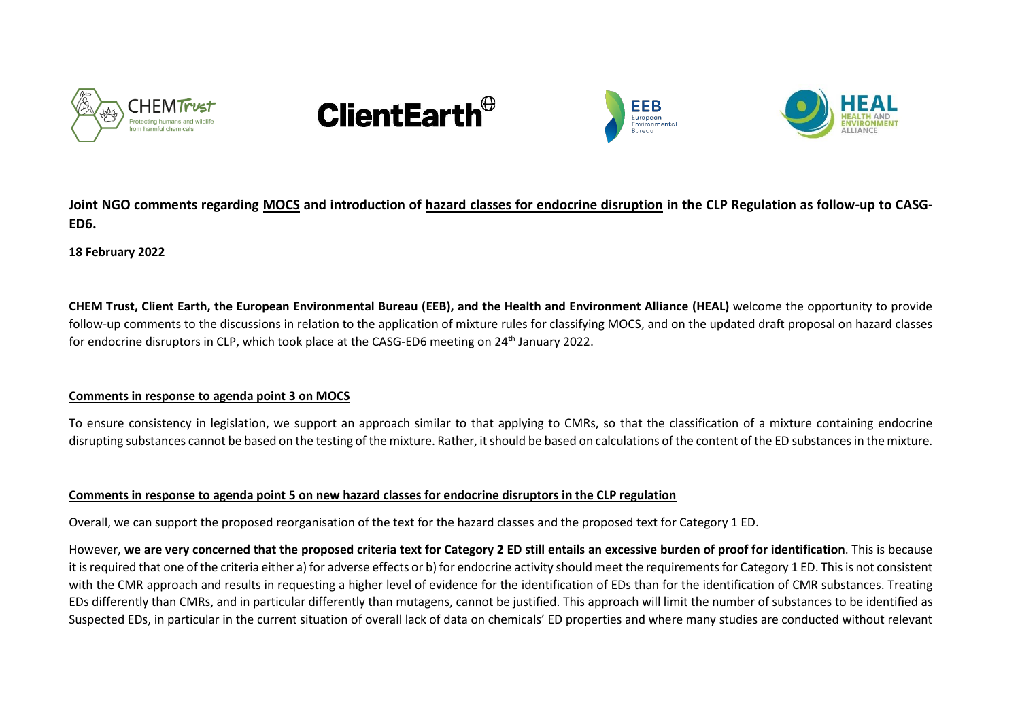







**Joint NGO comments regarding MOCS and introduction of hazard classes for endocrine disruption in the CLP Regulation as follow-up to CASG-ED6.**

**18 February 2022**

**CHEM Trust, Client Earth, the European Environmental Bureau (EEB), and the Health and Environment Alliance (HEAL)** welcome the opportunity to provide follow-up comments to the discussions in relation to the application of mixture rules for classifying MOCS, and on the updated draft proposal on hazard classes for endocrine disruptors in CLP, which took place at the CASG-ED6 meeting on 24<sup>th</sup> January 2022.

## **Comments in response to agenda point 3 on MOCS**

To ensure consistency in legislation, we support an approach similar to that applying to CMRs, so that the classification of a mixture containing endocrine disrupting substances cannot be based on the testing of the mixture. Rather, it should be based on calculations of the content of the ED substances in the mixture.

## **Comments in response to agenda point 5 on new hazard classes for endocrine disruptors in the CLP regulation**

Overall, we can support the proposed reorganisation of the text for the hazard classes and the proposed text for Category 1 ED.

However, **we are very concerned that the proposed criteria text for Category 2 ED still entails an excessive burden of proof for identification**. This is because it is required that one of the criteria either a) for adverse effects or b) for endocrine activity should meet the requirements for Category 1 ED. This is not consistent with the CMR approach and results in requesting a higher level of evidence for the identification of EDs than for the identification of CMR substances. Treating EDs differently than CMRs, and in particular differently than mutagens, cannot be justified. This approach will limit the number of substances to be identified as Suspected EDs, in particular in the current situation of overall lack of data on chemicals' ED properties and where many studies are conducted without relevant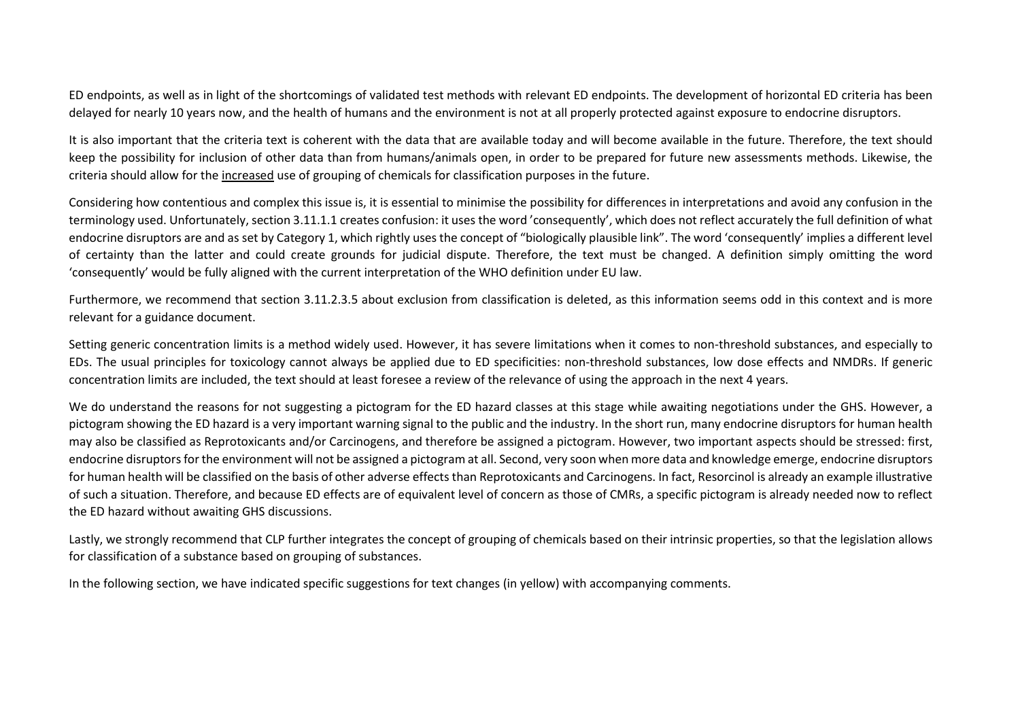ED endpoints, as well as in light of the shortcomings of validated test methods with relevant ED endpoints. The development of horizontal ED criteria has been delayed for nearly 10 years now, and the health of humans and the environment is not at all properly protected against exposure to endocrine disruptors.

It is also important that the criteria text is coherent with the data that are available today and will become available in the future. Therefore, the text should keep the possibility for inclusion of other data than from humans/animals open, in order to be prepared for future new assessments methods. Likewise, the criteria should allow for the increased use of grouping of chemicals for classification purposes in the future.

Considering how contentious and complex this issue is, it is essential to minimise the possibility for differences in interpretations and avoid any confusion in the terminology used. Unfortunately, section 3.11.1.1 creates confusion: it uses the word 'consequently', which does not reflect accurately the full definition of what endocrine disruptors are and as set by Category 1, which rightly uses the concept of "biologically plausible link". The word 'consequently' implies a different level of certainty than the latter and could create grounds for judicial dispute. Therefore, the text must be changed. A definition simply omitting the word 'consequently' would be fully aligned with the current interpretation of the WHO definition under EU law.

Furthermore, we recommend that section 3.11.2.3.5 about exclusion from classification is deleted, as this information seems odd in this context and is more relevant for a guidance document.

Setting generic concentration limits is a method widely used. However, it has severe limitations when it comes to non-threshold substances, and especially to EDs. The usual principles for toxicology cannot always be applied due to ED specificities: non-threshold substances, low dose effects and NMDRs. If generic concentration limits are included, the text should at least foresee a review of the relevance of using the approach in the next 4 years.

We do understand the reasons for not suggesting a pictogram for the ED hazard classes at this stage while awaiting negotiations under the GHS. However, a pictogram showing the ED hazard is a very important warning signal to the public and the industry. In the short run, many endocrine disruptors for human health may also be classified as Reprotoxicants and/or Carcinogens, and therefore be assigned a pictogram. However, two important aspects should be stressed: first, endocrine disruptors for the environment will not be assigned a pictogram at all. Second, very soon when more data and knowledge emerge, endocrine disruptors for human health will be classified on the basis of other adverse effects than Reprotoxicants and Carcinogens. In fact, Resorcinol is already an example illustrative of such a situation. Therefore, and because ED effects are of equivalent level of concern as those of CMRs, a specific pictogram is already needed now to reflect the ED hazard without awaiting GHS discussions.

Lastly, we strongly recommend that CLP further integrates the concept of grouping of chemicals based on their intrinsic properties, so that the legislation allows for classification of a substance based on grouping of substances.

In the following section, we have indicated specific suggestions for text changes (in yellow) with accompanying comments.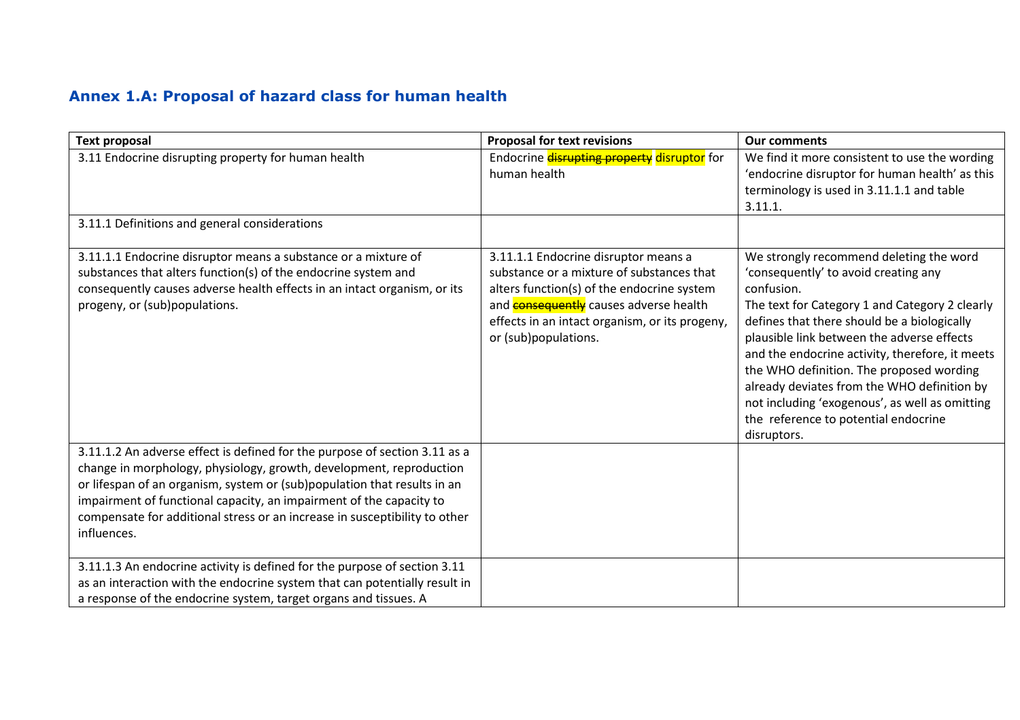## **Annex 1.A: Proposal of hazard class for human health**

| <b>Text proposal</b>                                                                                                                                                                                                                                                                                                                                                                              | <b>Proposal for text revisions</b>                                                                                                                                                                                                                         | <b>Our comments</b>                                                                                                                                                                                                                                                                                                                                                                                                                                                                                 |
|---------------------------------------------------------------------------------------------------------------------------------------------------------------------------------------------------------------------------------------------------------------------------------------------------------------------------------------------------------------------------------------------------|------------------------------------------------------------------------------------------------------------------------------------------------------------------------------------------------------------------------------------------------------------|-----------------------------------------------------------------------------------------------------------------------------------------------------------------------------------------------------------------------------------------------------------------------------------------------------------------------------------------------------------------------------------------------------------------------------------------------------------------------------------------------------|
| 3.11 Endocrine disrupting property for human health                                                                                                                                                                                                                                                                                                                                               | Endocrine disrupting property disruptor for<br>human health                                                                                                                                                                                                | We find it more consistent to use the wording<br>'endocrine disruptor for human health' as this<br>terminology is used in 3.11.1.1 and table<br>3.11.1.                                                                                                                                                                                                                                                                                                                                             |
| 3.11.1 Definitions and general considerations                                                                                                                                                                                                                                                                                                                                                     |                                                                                                                                                                                                                                                            |                                                                                                                                                                                                                                                                                                                                                                                                                                                                                                     |
| 3.11.1.1 Endocrine disruptor means a substance or a mixture of<br>substances that alters function(s) of the endocrine system and<br>consequently causes adverse health effects in an intact organism, or its<br>progeny, or (sub)populations.                                                                                                                                                     | 3.11.1.1 Endocrine disruptor means a<br>substance or a mixture of substances that<br>alters function(s) of the endocrine system<br>and <b>consequently</b> causes adverse health<br>effects in an intact organism, or its progeny,<br>or (sub)populations. | We strongly recommend deleting the word<br>'consequently' to avoid creating any<br>confusion.<br>The text for Category 1 and Category 2 clearly<br>defines that there should be a biologically<br>plausible link between the adverse effects<br>and the endocrine activity, therefore, it meets<br>the WHO definition. The proposed wording<br>already deviates from the WHO definition by<br>not including 'exogenous', as well as omitting<br>the reference to potential endocrine<br>disruptors. |
| 3.11.1.2 An adverse effect is defined for the purpose of section 3.11 as a<br>change in morphology, physiology, growth, development, reproduction<br>or lifespan of an organism, system or (sub)population that results in an<br>impairment of functional capacity, an impairment of the capacity to<br>compensate for additional stress or an increase in susceptibility to other<br>influences. |                                                                                                                                                                                                                                                            |                                                                                                                                                                                                                                                                                                                                                                                                                                                                                                     |
| 3.11.1.3 An endocrine activity is defined for the purpose of section 3.11<br>as an interaction with the endocrine system that can potentially result in<br>a response of the endocrine system, target organs and tissues. A                                                                                                                                                                       |                                                                                                                                                                                                                                                            |                                                                                                                                                                                                                                                                                                                                                                                                                                                                                                     |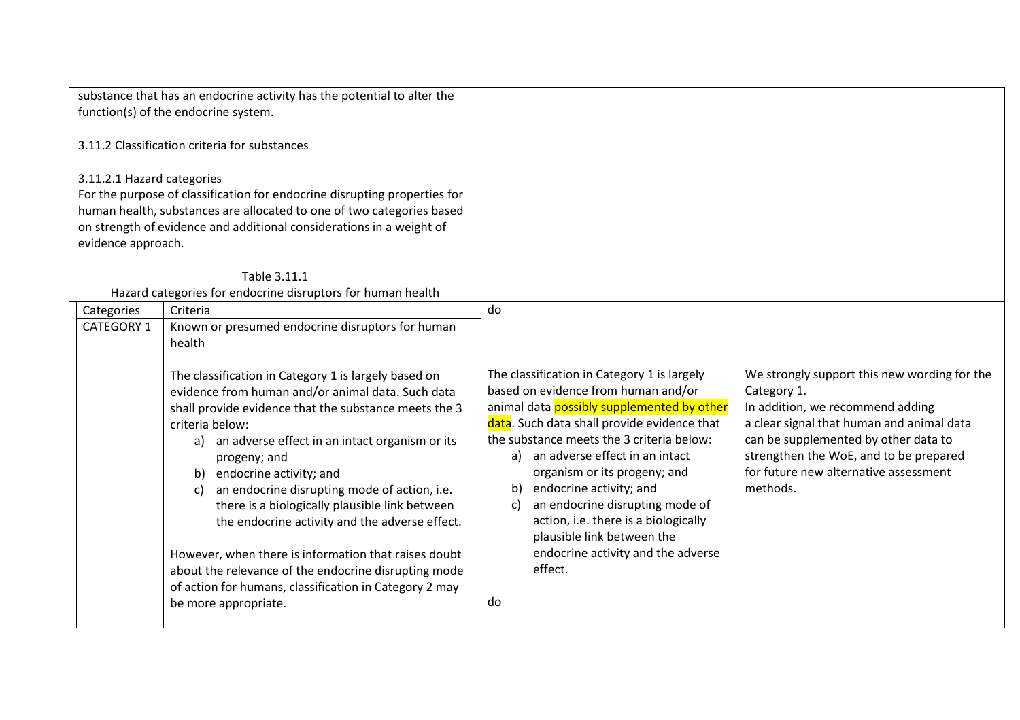|                                                                                                                                                                                                                                                                                | substance that has an endocrine activity has the potential to alter the<br>function(s) of the endocrine system.                                                                                                                                                                                                                                                                                                                                                                                                                                                                                                                                                      |                                                                                                                                                                                                                                                                                                                                                                                                                                                                                                          |                                                                                                                                                                                                                                                                                     |
|--------------------------------------------------------------------------------------------------------------------------------------------------------------------------------------------------------------------------------------------------------------------------------|----------------------------------------------------------------------------------------------------------------------------------------------------------------------------------------------------------------------------------------------------------------------------------------------------------------------------------------------------------------------------------------------------------------------------------------------------------------------------------------------------------------------------------------------------------------------------------------------------------------------------------------------------------------------|----------------------------------------------------------------------------------------------------------------------------------------------------------------------------------------------------------------------------------------------------------------------------------------------------------------------------------------------------------------------------------------------------------------------------------------------------------------------------------------------------------|-------------------------------------------------------------------------------------------------------------------------------------------------------------------------------------------------------------------------------------------------------------------------------------|
|                                                                                                                                                                                                                                                                                | 3.11.2 Classification criteria for substances                                                                                                                                                                                                                                                                                                                                                                                                                                                                                                                                                                                                                        |                                                                                                                                                                                                                                                                                                                                                                                                                                                                                                          |                                                                                                                                                                                                                                                                                     |
| 3.11.2.1 Hazard categories<br>For the purpose of classification for endocrine disrupting properties for<br>human health, substances are allocated to one of two categories based<br>on strength of evidence and additional considerations in a weight of<br>evidence approach. |                                                                                                                                                                                                                                                                                                                                                                                                                                                                                                                                                                                                                                                                      |                                                                                                                                                                                                                                                                                                                                                                                                                                                                                                          |                                                                                                                                                                                                                                                                                     |
|                                                                                                                                                                                                                                                                                | Table 3.11.1<br>Hazard categories for endocrine disruptors for human health                                                                                                                                                                                                                                                                                                                                                                                                                                                                                                                                                                                          |                                                                                                                                                                                                                                                                                                                                                                                                                                                                                                          |                                                                                                                                                                                                                                                                                     |
| Categories                                                                                                                                                                                                                                                                     | Criteria                                                                                                                                                                                                                                                                                                                                                                                                                                                                                                                                                                                                                                                             | do                                                                                                                                                                                                                                                                                                                                                                                                                                                                                                       |                                                                                                                                                                                                                                                                                     |
| CATEGORY 1                                                                                                                                                                                                                                                                     | Known or presumed endocrine disruptors for human<br>health                                                                                                                                                                                                                                                                                                                                                                                                                                                                                                                                                                                                           |                                                                                                                                                                                                                                                                                                                                                                                                                                                                                                          |                                                                                                                                                                                                                                                                                     |
|                                                                                                                                                                                                                                                                                | The classification in Category 1 is largely based on<br>evidence from human and/or animal data. Such data<br>shall provide evidence that the substance meets the 3<br>criteria below:<br>an adverse effect in an intact organism or its<br>a)<br>progeny; and<br>endocrine activity; and<br>b)<br>an endocrine disrupting mode of action, i.e.<br>$\mathsf{c}$<br>there is a biologically plausible link between<br>the endocrine activity and the adverse effect.<br>However, when there is information that raises doubt<br>about the relevance of the endocrine disrupting mode<br>of action for humans, classification in Category 2 may<br>be more appropriate. | The classification in Category 1 is largely<br>based on evidence from human and/or<br>animal data possibly supplemented by other<br>data. Such data shall provide evidence that<br>the substance meets the 3 criteria below:<br>a) an adverse effect in an intact<br>organism or its progeny; and<br>endocrine activity; and<br>b)<br>an endocrine disrupting mode of<br>c)<br>action, i.e. there is a biologically<br>plausible link between the<br>endocrine activity and the adverse<br>effect.<br>do | We strongly support this new wording for the<br>Category 1.<br>In addition, we recommend adding<br>a clear signal that human and animal data<br>can be supplemented by other data to<br>strengthen the WoE, and to be prepared<br>for future new alternative assessment<br>methods. |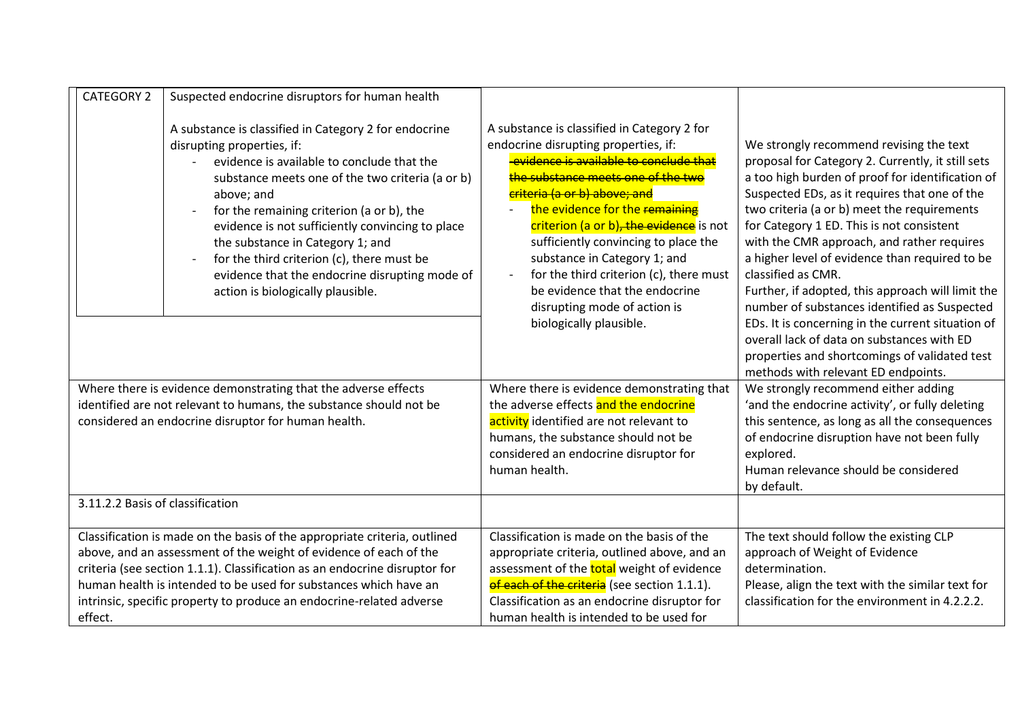| <b>CATEGORY 2</b>                | Suspected endocrine disruptors for human health                                                                                                                                                                                                                                                                                                                                                                                                                               |                                                                                                                                                                                                                                                                                                                                                                                                                                                                                                   |                                                                                                                                                                                                                                                                                                                                                                                                                                                                                                                                                                                                                                                                                                                     |
|----------------------------------|-------------------------------------------------------------------------------------------------------------------------------------------------------------------------------------------------------------------------------------------------------------------------------------------------------------------------------------------------------------------------------------------------------------------------------------------------------------------------------|---------------------------------------------------------------------------------------------------------------------------------------------------------------------------------------------------------------------------------------------------------------------------------------------------------------------------------------------------------------------------------------------------------------------------------------------------------------------------------------------------|---------------------------------------------------------------------------------------------------------------------------------------------------------------------------------------------------------------------------------------------------------------------------------------------------------------------------------------------------------------------------------------------------------------------------------------------------------------------------------------------------------------------------------------------------------------------------------------------------------------------------------------------------------------------------------------------------------------------|
|                                  | A substance is classified in Category 2 for endocrine<br>disrupting properties, if:<br>evidence is available to conclude that the<br>substance meets one of the two criteria (a or b)<br>above; and<br>for the remaining criterion (a or b), the<br>evidence is not sufficiently convincing to place<br>the substance in Category 1; and<br>for the third criterion (c), there must be<br>evidence that the endocrine disrupting mode of<br>action is biologically plausible. | A substance is classified in Category 2 for<br>endocrine disrupting properties, if:<br>-evidence is available to conclude that<br>the substance meets one of the two<br>criteria (a or b) above; and<br>the evidence for the remaining<br>criterion (a or b), the evidence is not<br>sufficiently convincing to place the<br>substance in Category 1; and<br>for the third criterion (c), there must<br>be evidence that the endocrine<br>disrupting mode of action is<br>biologically plausible. | We strongly recommend revising the text<br>proposal for Category 2. Currently, it still sets<br>a too high burden of proof for identification of<br>Suspected EDs, as it requires that one of the<br>two criteria (a or b) meet the requirements<br>for Category 1 ED. This is not consistent<br>with the CMR approach, and rather requires<br>a higher level of evidence than required to be<br>classified as CMR.<br>Further, if adopted, this approach will limit the<br>number of substances identified as Suspected<br>EDs. It is concerning in the current situation of<br>overall lack of data on substances with ED<br>properties and shortcomings of validated test<br>methods with relevant ED endpoints. |
|                                  | Where there is evidence demonstrating that the adverse effects<br>identified are not relevant to humans, the substance should not be<br>considered an endocrine disruptor for human health.                                                                                                                                                                                                                                                                                   | Where there is evidence demonstrating that<br>the adverse effects and the endocrine<br>activity identified are not relevant to<br>humans, the substance should not be<br>considered an endocrine disruptor for<br>human health.                                                                                                                                                                                                                                                                   | We strongly recommend either adding<br>'and the endocrine activity', or fully deleting<br>this sentence, as long as all the consequences<br>of endocrine disruption have not been fully<br>explored.<br>Human relevance should be considered<br>by default.                                                                                                                                                                                                                                                                                                                                                                                                                                                         |
| 3.11.2.2 Basis of classification |                                                                                                                                                                                                                                                                                                                                                                                                                                                                               |                                                                                                                                                                                                                                                                                                                                                                                                                                                                                                   |                                                                                                                                                                                                                                                                                                                                                                                                                                                                                                                                                                                                                                                                                                                     |
|                                  | Classification is made on the basis of the appropriate criteria, outlined<br>above, and an assessment of the weight of evidence of each of the<br>criteria (see section 1.1.1). Classification as an endocrine disruptor for<br>human health is intended to be used for substances which have an<br>intrinsic, specific property to produce an endocrine-related adverse                                                                                                      | Classification is made on the basis of the<br>appropriate criteria, outlined above, and an<br>assessment of the total weight of evidence<br>of each of the criteria (see section 1.1.1).<br>Classification as an endocrine disruptor for                                                                                                                                                                                                                                                          | The text should follow the existing CLP<br>approach of Weight of Evidence<br>determination.<br>Please, align the text with the similar text for<br>classification for the environment in 4.2.2.2.                                                                                                                                                                                                                                                                                                                                                                                                                                                                                                                   |
| effect.                          |                                                                                                                                                                                                                                                                                                                                                                                                                                                                               | human health is intended to be used for                                                                                                                                                                                                                                                                                                                                                                                                                                                           |                                                                                                                                                                                                                                                                                                                                                                                                                                                                                                                                                                                                                                                                                                                     |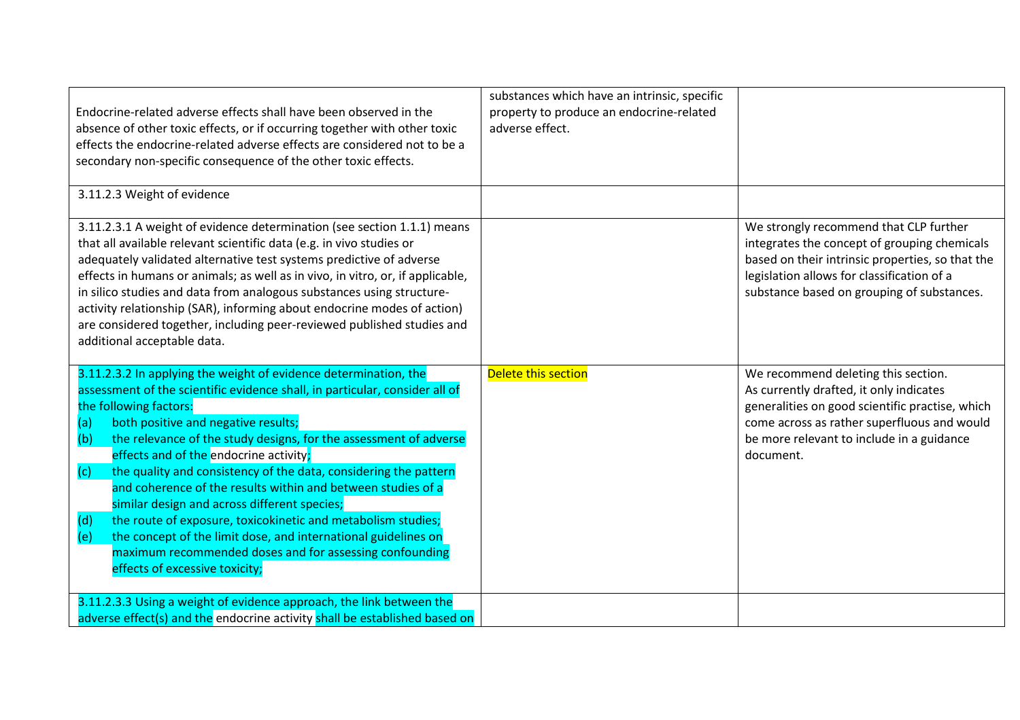| Endocrine-related adverse effects shall have been observed in the<br>absence of other toxic effects, or if occurring together with other toxic<br>effects the endocrine-related adverse effects are considered not to be a<br>secondary non-specific consequence of the other toxic effects.                                                                                                                                                                                                                                                                                                                                                                                                                                                                                          | substances which have an intrinsic, specific<br>property to produce an endocrine-related<br>adverse effect. |                                                                                                                                                                                                                                            |
|---------------------------------------------------------------------------------------------------------------------------------------------------------------------------------------------------------------------------------------------------------------------------------------------------------------------------------------------------------------------------------------------------------------------------------------------------------------------------------------------------------------------------------------------------------------------------------------------------------------------------------------------------------------------------------------------------------------------------------------------------------------------------------------|-------------------------------------------------------------------------------------------------------------|--------------------------------------------------------------------------------------------------------------------------------------------------------------------------------------------------------------------------------------------|
| 3.11.2.3 Weight of evidence                                                                                                                                                                                                                                                                                                                                                                                                                                                                                                                                                                                                                                                                                                                                                           |                                                                                                             |                                                                                                                                                                                                                                            |
| 3.11.2.3.1 A weight of evidence determination (see section 1.1.1) means<br>that all available relevant scientific data (e.g. in vivo studies or<br>adequately validated alternative test systems predictive of adverse<br>effects in humans or animals; as well as in vivo, in vitro, or, if applicable,<br>in silico studies and data from analogous substances using structure-<br>activity relationship (SAR), informing about endocrine modes of action)<br>are considered together, including peer-reviewed published studies and<br>additional acceptable data.                                                                                                                                                                                                                 |                                                                                                             | We strongly recommend that CLP further<br>integrates the concept of grouping chemicals<br>based on their intrinsic properties, so that the<br>legislation allows for classification of a<br>substance based on grouping of substances.     |
| 3.11.2.3.2 In applying the weight of evidence determination, the<br>assessment of the scientific evidence shall, in particular, consider all of<br>the following factors:<br>both positive and negative results;<br>(a)<br>the relevance of the study designs, for the assessment of adverse<br>(b)<br>effects and of the endocrine activity;<br>the quality and consistency of the data, considering the pattern<br>(c)<br>and coherence of the results within and between studies of a<br>similar design and across different species;<br>the route of exposure, toxicokinetic and metabolism studies;<br>(d)<br>the concept of the limit dose, and international guidelines on<br>(e)<br>maximum recommended doses and for assessing confounding<br>effects of excessive toxicity; | Delete this section                                                                                         | We recommend deleting this section.<br>As currently drafted, it only indicates<br>generalities on good scientific practise, which<br>come across as rather superfluous and would<br>be more relevant to include in a guidance<br>document. |
| 3.11.2.3.3 Using a weight of evidence approach, the link between the<br>adverse effect(s) and the endocrine activity shall be established based on                                                                                                                                                                                                                                                                                                                                                                                                                                                                                                                                                                                                                                    |                                                                                                             |                                                                                                                                                                                                                                            |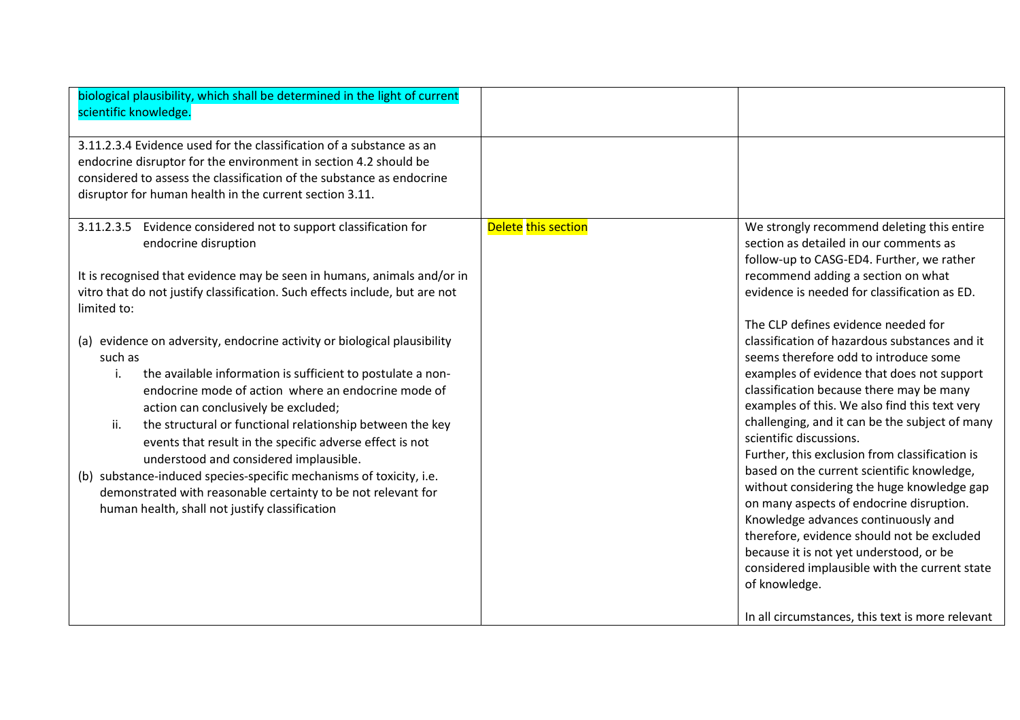| biological plausibility, which shall be determined in the light of current<br>scientific knowledge.                                                                                                                                                                                                                                                                                                                                                                                                                                                                                                                                                                                                                                                                                                                                                                                                 |                     |                                                                                                                                                                                                                                                                                                                                                                                                                                                                                                                                                                                                                                                                                                                                                                                                                                                                                                                                                                                                                                  |
|-----------------------------------------------------------------------------------------------------------------------------------------------------------------------------------------------------------------------------------------------------------------------------------------------------------------------------------------------------------------------------------------------------------------------------------------------------------------------------------------------------------------------------------------------------------------------------------------------------------------------------------------------------------------------------------------------------------------------------------------------------------------------------------------------------------------------------------------------------------------------------------------------------|---------------------|----------------------------------------------------------------------------------------------------------------------------------------------------------------------------------------------------------------------------------------------------------------------------------------------------------------------------------------------------------------------------------------------------------------------------------------------------------------------------------------------------------------------------------------------------------------------------------------------------------------------------------------------------------------------------------------------------------------------------------------------------------------------------------------------------------------------------------------------------------------------------------------------------------------------------------------------------------------------------------------------------------------------------------|
| 3.11.2.3.4 Evidence used for the classification of a substance as an<br>endocrine disruptor for the environment in section 4.2 should be<br>considered to assess the classification of the substance as endocrine<br>disruptor for human health in the current section 3.11.                                                                                                                                                                                                                                                                                                                                                                                                                                                                                                                                                                                                                        |                     |                                                                                                                                                                                                                                                                                                                                                                                                                                                                                                                                                                                                                                                                                                                                                                                                                                                                                                                                                                                                                                  |
| 3.11.2.3.5 Evidence considered not to support classification for<br>endocrine disruption<br>It is recognised that evidence may be seen in humans, animals and/or in<br>vitro that do not justify classification. Such effects include, but are not<br>limited to:<br>(a) evidence on adversity, endocrine activity or biological plausibility<br>such as<br>the available information is sufficient to postulate a non-<br>i.<br>endocrine mode of action where an endocrine mode of<br>action can conclusively be excluded;<br>the structural or functional relationship between the key<br>ii.<br>events that result in the specific adverse effect is not<br>understood and considered implausible.<br>substance-induced species-specific mechanisms of toxicity, i.e.<br>(b)<br>demonstrated with reasonable certainty to be not relevant for<br>human health, shall not justify classification | Delete this section | We strongly recommend deleting this entire<br>section as detailed in our comments as<br>follow-up to CASG-ED4. Further, we rather<br>recommend adding a section on what<br>evidence is needed for classification as ED.<br>The CLP defines evidence needed for<br>classification of hazardous substances and it<br>seems therefore odd to introduce some<br>examples of evidence that does not support<br>classification because there may be many<br>examples of this. We also find this text very<br>challenging, and it can be the subject of many<br>scientific discussions.<br>Further, this exclusion from classification is<br>based on the current scientific knowledge,<br>without considering the huge knowledge gap<br>on many aspects of endocrine disruption.<br>Knowledge advances continuously and<br>therefore, evidence should not be excluded<br>because it is not yet understood, or be<br>considered implausible with the current state<br>of knowledge.<br>In all circumstances, this text is more relevant |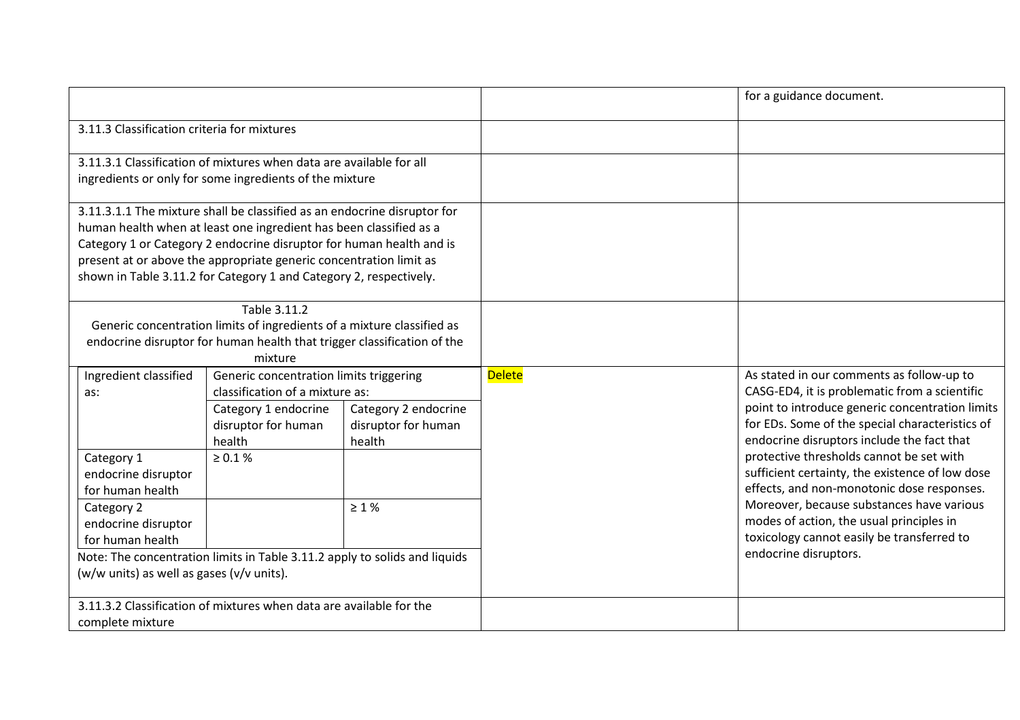|                                                                                                                                                              |                                                                          |                      |               | for a guidance document.                                                                    |
|--------------------------------------------------------------------------------------------------------------------------------------------------------------|--------------------------------------------------------------------------|----------------------|---------------|---------------------------------------------------------------------------------------------|
| 3.11.3 Classification criteria for mixtures                                                                                                                  |                                                                          |                      |               |                                                                                             |
|                                                                                                                                                              | 3.11.3.1 Classification of mixtures when data are available for all      |                      |               |                                                                                             |
|                                                                                                                                                              | ingredients or only for some ingredients of the mixture                  |                      |               |                                                                                             |
|                                                                                                                                                              | 3.11.3.1.1 The mixture shall be classified as an endocrine disruptor for |                      |               |                                                                                             |
|                                                                                                                                                              | human health when at least one ingredient has been classified as a       |                      |               |                                                                                             |
|                                                                                                                                                              | Category 1 or Category 2 endocrine disruptor for human health and is     |                      |               |                                                                                             |
|                                                                                                                                                              | present at or above the appropriate generic concentration limit as       |                      |               |                                                                                             |
|                                                                                                                                                              | shown in Table 3.11.2 for Category 1 and Category 2, respectively.       |                      |               |                                                                                             |
|                                                                                                                                                              | Table 3.11.2                                                             |                      |               |                                                                                             |
| Generic concentration limits of ingredients of a mixture classified as<br>endocrine disruptor for human health that trigger classification of the<br>mixture |                                                                          |                      |               |                                                                                             |
| Ingredient classified                                                                                                                                        | Generic concentration limits triggering                                  |                      | <b>Delete</b> | As stated in our comments as follow-up to                                                   |
| as:                                                                                                                                                          | classification of a mixture as:                                          |                      |               | CASG-ED4, it is problematic from a scientific                                               |
|                                                                                                                                                              | Category 1 endocrine                                                     | Category 2 endocrine |               | point to introduce generic concentration limits                                             |
|                                                                                                                                                              | disruptor for human                                                      | disruptor for human  |               | for EDs. Some of the special characteristics of                                             |
|                                                                                                                                                              | health                                                                   | health               |               | endocrine disruptors include the fact that                                                  |
| Category 1<br>endocrine disruptor                                                                                                                            | $\geq 0.1 \%$                                                            |                      |               | protective thresholds cannot be set with<br>sufficient certainty, the existence of low dose |
| for human health                                                                                                                                             |                                                                          |                      |               | effects, and non-monotonic dose responses.<br>Moreover, because substances have various     |
| Category 2                                                                                                                                                   |                                                                          | $\geq 1$ %           |               | modes of action, the usual principles in                                                    |
| endocrine disruptor<br>for human health                                                                                                                      |                                                                          |                      |               | toxicology cannot easily be transferred to                                                  |
|                                                                                                                                                              |                                                                          |                      |               | endocrine disruptors.                                                                       |
| Note: The concentration limits in Table 3.11.2 apply to solids and liquids<br>(w/w units) as well as gases (v/v units).                                      |                                                                          |                      |               |                                                                                             |
|                                                                                                                                                              |                                                                          |                      |               |                                                                                             |
|                                                                                                                                                              | 3.11.3.2 Classification of mixtures when data are available for the      |                      |               |                                                                                             |
| complete mixture                                                                                                                                             |                                                                          |                      |               |                                                                                             |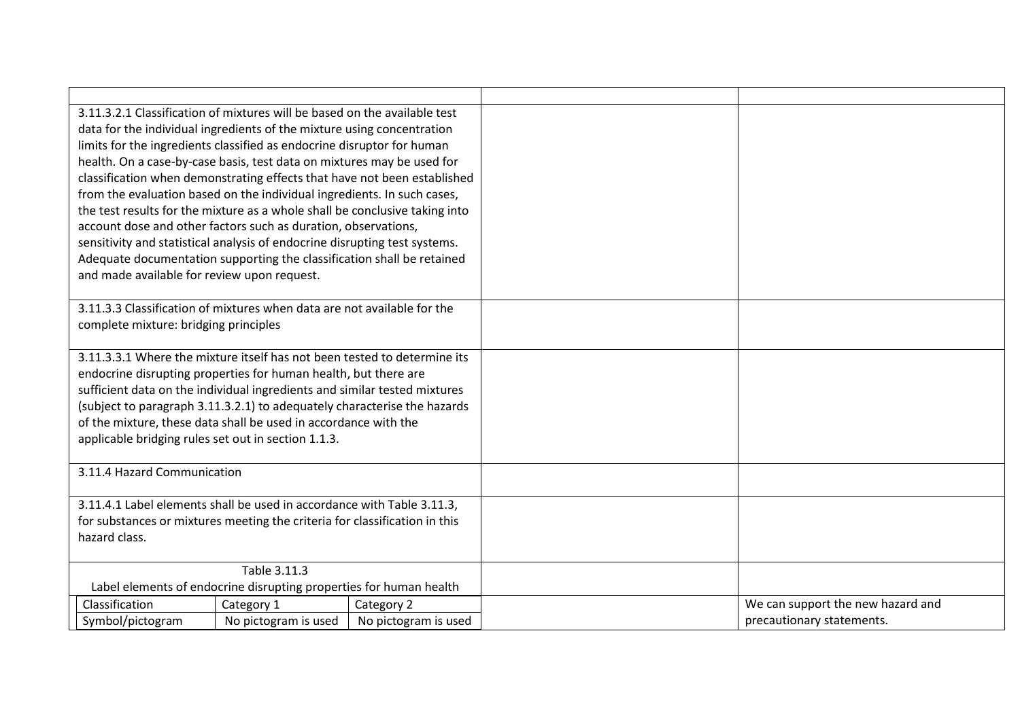| 3.11.3.2.1 Classification of mixtures will be based on the available test   |                      |                                   |
|-----------------------------------------------------------------------------|----------------------|-----------------------------------|
| data for the individual ingredients of the mixture using concentration      |                      |                                   |
| limits for the ingredients classified as endocrine disruptor for human      |                      |                                   |
| health. On a case-by-case basis, test data on mixtures may be used for      |                      |                                   |
| classification when demonstrating effects that have not been established    |                      |                                   |
| from the evaluation based on the individual ingredients. In such cases,     |                      |                                   |
| the test results for the mixture as a whole shall be conclusive taking into |                      |                                   |
| account dose and other factors such as duration, observations,              |                      |                                   |
| sensitivity and statistical analysis of endocrine disrupting test systems.  |                      |                                   |
| Adequate documentation supporting the classification shall be retained      |                      |                                   |
| and made available for review upon request.                                 |                      |                                   |
|                                                                             |                      |                                   |
| 3.11.3.3 Classification of mixtures when data are not available for the     |                      |                                   |
| complete mixture: bridging principles                                       |                      |                                   |
| 3.11.3.3.1 Where the mixture itself has not been tested to determine its    |                      |                                   |
| endocrine disrupting properties for human health, but there are             |                      |                                   |
| sufficient data on the individual ingredients and similar tested mixtures   |                      |                                   |
| (subject to paragraph 3.11.3.2.1) to adequately characterise the hazards    |                      |                                   |
| of the mixture, these data shall be used in accordance with the             |                      |                                   |
| applicable bridging rules set out in section 1.1.3.                         |                      |                                   |
|                                                                             |                      |                                   |
| 3.11.4 Hazard Communication                                                 |                      |                                   |
|                                                                             |                      |                                   |
| 3.11.4.1 Label elements shall be used in accordance with Table 3.11.3,      |                      |                                   |
| for substances or mixtures meeting the criteria for classification in this  |                      |                                   |
| hazard class.                                                               |                      |                                   |
| Table 3.11.3                                                                |                      |                                   |
| Label elements of endocrine disrupting properties for human health          |                      |                                   |
| Classification<br>Category 1                                                | Category 2           | We can support the new hazard and |
| Symbol/pictogram<br>No pictogram is used                                    | No pictogram is used | precautionary statements.         |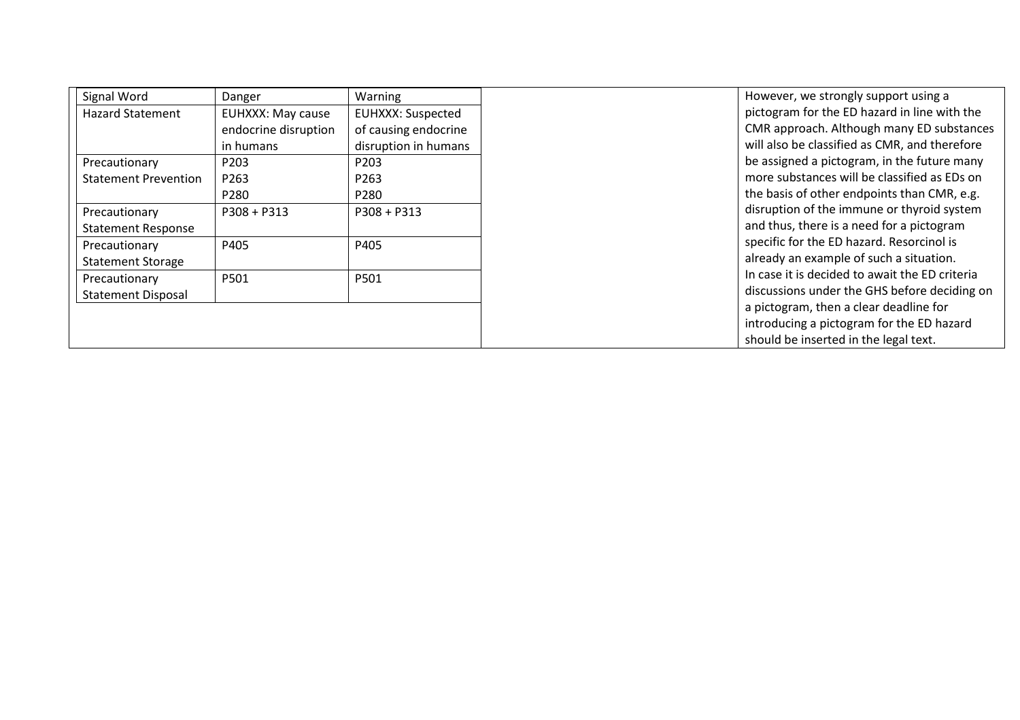| Signal Word                 | Danger                   | Warning                  |
|-----------------------------|--------------------------|--------------------------|
| <b>Hazard Statement</b>     | <b>EUHXXX: May cause</b> | <b>EUHXXX: Suspected</b> |
|                             | endocrine disruption     | of causing endocrine     |
|                             | in humans                | disruption in humans     |
| Precautionary               | P203                     | P <sub>203</sub>         |
| <b>Statement Prevention</b> | P263                     | P <sub>263</sub>         |
|                             | P280                     | P <sub>280</sub>         |
| Precautionary               | P308 + P313              | $P308 + P313$            |
| <b>Statement Response</b>   |                          |                          |
| Precautionary               | P405                     | P405                     |
| <b>Statement Storage</b>    |                          |                          |
| Precautionary               | P501                     | P501                     |
| <b>Statement Disposal</b>   |                          |                          |
|                             |                          |                          |
|                             |                          |                          |
|                             |                          |                          |

However, we strongly support using a pictogram for the ED hazard in line with the CMR approach. Although many ED substances will also be classified as CMR, and therefore be assigned a pictogram, in the future many more substances will be classified as EDs on the basis of other endpoints than CMR, e.g. disruption of the immune or thyroid system and thus, there is a need for a pictogram specific for the ED hazard. Resorcinol is already an example of such a situation. In case it is decided to await the ED criteria discussions under the GHS before deciding on a pictogram, then a clear deadline for introducing a pictogram for the ED hazard should be inserted in the legal text.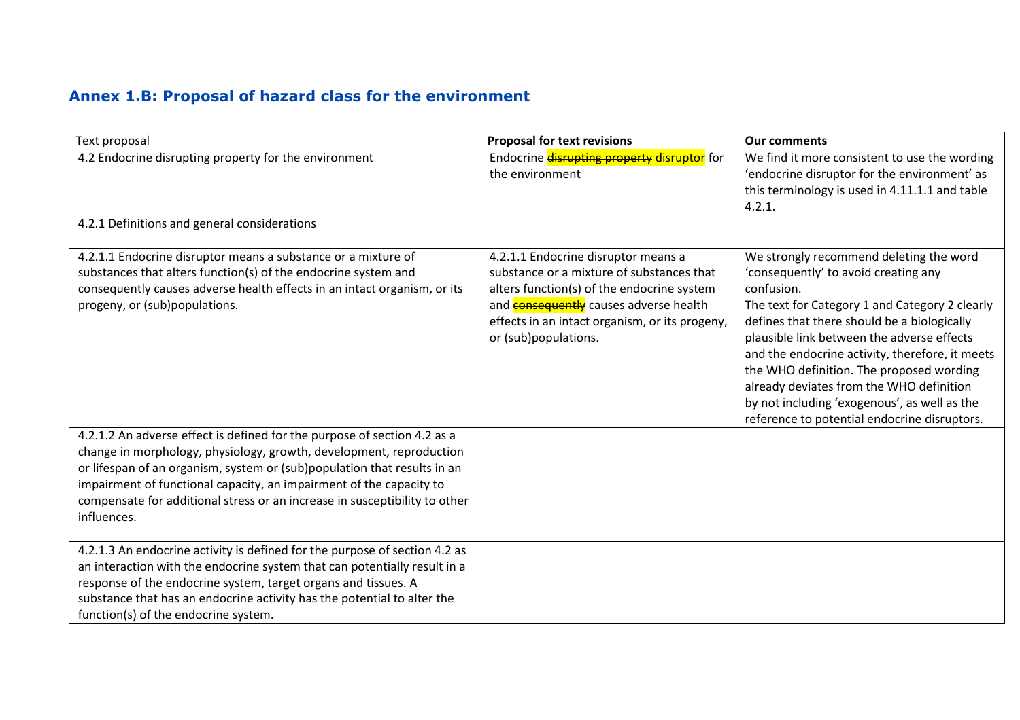## **Annex 1.B: Proposal of hazard class for the environment**

| Text proposal                                                                                                                                                                                                                                                                                                                                                                                   | <b>Proposal for text revisions</b>                                                                                                                                                                                                                        | <b>Our comments</b>                                                                                                                                                                                                                                                                                                                                                                                                                                                                     |
|-------------------------------------------------------------------------------------------------------------------------------------------------------------------------------------------------------------------------------------------------------------------------------------------------------------------------------------------------------------------------------------------------|-----------------------------------------------------------------------------------------------------------------------------------------------------------------------------------------------------------------------------------------------------------|-----------------------------------------------------------------------------------------------------------------------------------------------------------------------------------------------------------------------------------------------------------------------------------------------------------------------------------------------------------------------------------------------------------------------------------------------------------------------------------------|
| 4.2 Endocrine disrupting property for the environment                                                                                                                                                                                                                                                                                                                                           | Endocrine disrupting property disruptor for<br>the environment                                                                                                                                                                                            | We find it more consistent to use the wording<br>'endocrine disruptor for the environment' as<br>this terminology is used in 4.11.1.1 and table<br>4.2.1.                                                                                                                                                                                                                                                                                                                               |
| 4.2.1 Definitions and general considerations                                                                                                                                                                                                                                                                                                                                                    |                                                                                                                                                                                                                                                           |                                                                                                                                                                                                                                                                                                                                                                                                                                                                                         |
| 4.2.1.1 Endocrine disruptor means a substance or a mixture of<br>substances that alters function(s) of the endocrine system and<br>consequently causes adverse health effects in an intact organism, or its<br>progeny, or (sub)populations.                                                                                                                                                    | 4.2.1.1 Endocrine disruptor means a<br>substance or a mixture of substances that<br>alters function(s) of the endocrine system<br>and <b>consequently</b> causes adverse health<br>effects in an intact organism, or its progeny,<br>or (sub)populations. | We strongly recommend deleting the word<br>'consequently' to avoid creating any<br>confusion.<br>The text for Category 1 and Category 2 clearly<br>defines that there should be a biologically<br>plausible link between the adverse effects<br>and the endocrine activity, therefore, it meets<br>the WHO definition. The proposed wording<br>already deviates from the WHO definition<br>by not including 'exogenous', as well as the<br>reference to potential endocrine disruptors. |
| 4.2.1.2 An adverse effect is defined for the purpose of section 4.2 as a<br>change in morphology, physiology, growth, development, reproduction<br>or lifespan of an organism, system or (sub)population that results in an<br>impairment of functional capacity, an impairment of the capacity to<br>compensate for additional stress or an increase in susceptibility to other<br>influences. |                                                                                                                                                                                                                                                           |                                                                                                                                                                                                                                                                                                                                                                                                                                                                                         |
| 4.2.1.3 An endocrine activity is defined for the purpose of section 4.2 as<br>an interaction with the endocrine system that can potentially result in a<br>response of the endocrine system, target organs and tissues. A<br>substance that has an endocrine activity has the potential to alter the<br>function(s) of the endocrine system.                                                    |                                                                                                                                                                                                                                                           |                                                                                                                                                                                                                                                                                                                                                                                                                                                                                         |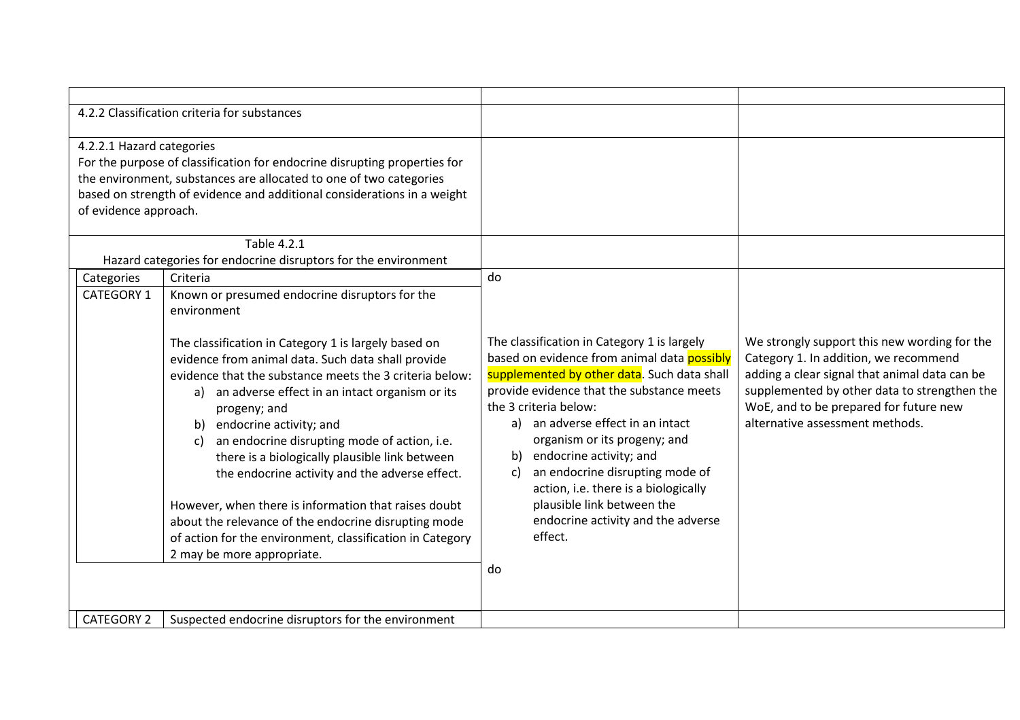| 4.2.2 Classification criteria for substances       |                                                                                                                                                                                                                                                                                                                                                                                                                                                               |                                                                                                                                                                                                                                                                                                                                |                                                                                                                                                                                                                                                                     |
|----------------------------------------------------|---------------------------------------------------------------------------------------------------------------------------------------------------------------------------------------------------------------------------------------------------------------------------------------------------------------------------------------------------------------------------------------------------------------------------------------------------------------|--------------------------------------------------------------------------------------------------------------------------------------------------------------------------------------------------------------------------------------------------------------------------------------------------------------------------------|---------------------------------------------------------------------------------------------------------------------------------------------------------------------------------------------------------------------------------------------------------------------|
| 4.2.2.1 Hazard categories<br>of evidence approach. | For the purpose of classification for endocrine disrupting properties for<br>the environment, substances are allocated to one of two categories<br>based on strength of evidence and additional considerations in a weight                                                                                                                                                                                                                                    |                                                                                                                                                                                                                                                                                                                                |                                                                                                                                                                                                                                                                     |
|                                                    | Table 4.2.1<br>Hazard categories for endocrine disruptors for the environment                                                                                                                                                                                                                                                                                                                                                                                 |                                                                                                                                                                                                                                                                                                                                |                                                                                                                                                                                                                                                                     |
| Categories<br>CATEGORY 1                           | Criteria<br>Known or presumed endocrine disruptors for the<br>environment<br>The classification in Category 1 is largely based on<br>evidence from animal data. Such data shall provide<br>evidence that the substance meets the 3 criteria below:<br>a) an adverse effect in an intact organism or its<br>progeny; and<br>b) endocrine activity; and<br>an endocrine disrupting mode of action, i.e.<br>c)<br>there is a biologically plausible link between | do<br>The classification in Category 1 is largely<br>based on evidence from animal data possibly<br>supplemented by other data. Such data shall<br>provide evidence that the substance meets<br>the 3 criteria below:<br>an adverse effect in an intact<br>a)<br>organism or its progeny; and<br>endocrine activity; and<br>b) | We strongly support this new wording for the<br>Category 1. In addition, we recommend<br>adding a clear signal that animal data can be<br>supplemented by other data to strengthen the<br>WoE, and to be prepared for future new<br>alternative assessment methods. |
|                                                    | the endocrine activity and the adverse effect.<br>However, when there is information that raises doubt<br>about the relevance of the endocrine disrupting mode<br>of action for the environment, classification in Category<br>2 may be more appropriate.                                                                                                                                                                                                     | an endocrine disrupting mode of<br>C)<br>action, i.e. there is a biologically<br>plausible link between the<br>endocrine activity and the adverse<br>effect.<br>do                                                                                                                                                             |                                                                                                                                                                                                                                                                     |
| CATEGORY 2                                         | Suspected endocrine disruptors for the environment                                                                                                                                                                                                                                                                                                                                                                                                            |                                                                                                                                                                                                                                                                                                                                |                                                                                                                                                                                                                                                                     |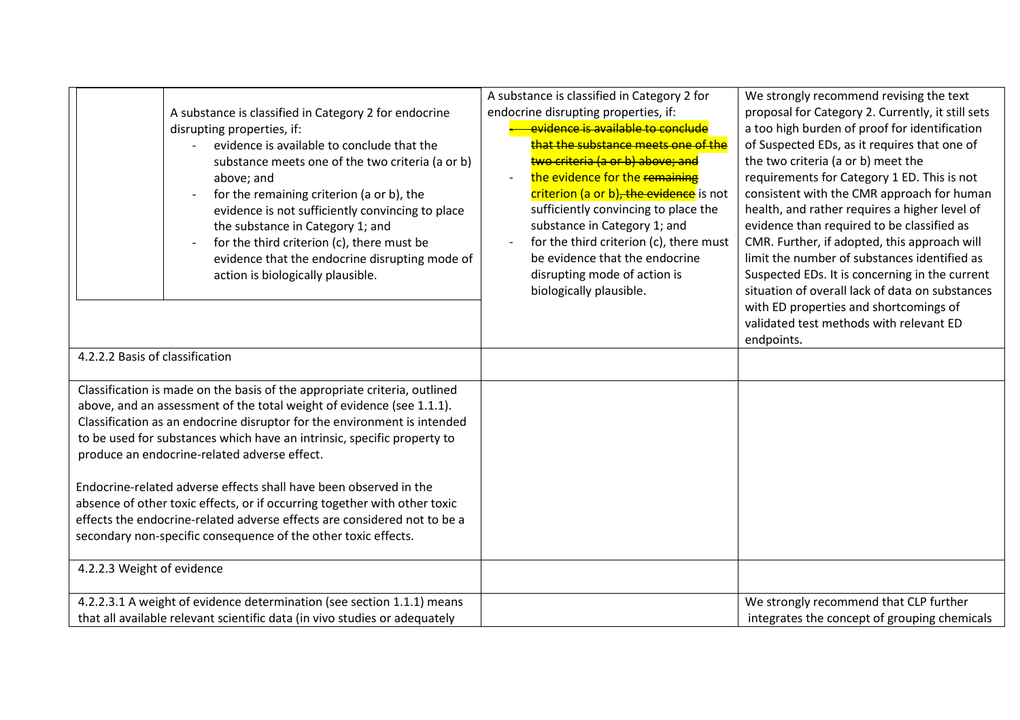|                                                                                                                                                                                                                                                                                                                                                           | A substance is classified in Category 2 for endocrine<br>disrupting properties, if:<br>evidence is available to conclude that the<br>substance meets one of the two criteria (a or b)<br>above; and<br>for the remaining criterion (a or b), the<br>evidence is not sufficiently convincing to place<br>the substance in Category 1; and<br>for the third criterion (c), there must be<br>evidence that the endocrine disrupting mode of<br>action is biologically plausible. | A substance is classified in Category 2 for<br>endocrine disrupting properties, if:<br>evidence is available to conclude<br>that the substance meets one of the<br>two criteria (a or b) above; and<br>the evidence for the remaining<br>criterion (a or b), the evidence is not<br>sufficiently convincing to place the<br>substance in Category 1; and<br>for the third criterion (c), there must<br>be evidence that the endocrine<br>disrupting mode of action is<br>biologically plausible. | We strongly recommend revising the text<br>proposal for Category 2. Currently, it still sets<br>a too high burden of proof for identification<br>of Suspected EDs, as it requires that one of<br>the two criteria (a or b) meet the<br>requirements for Category 1 ED. This is not<br>consistent with the CMR approach for human<br>health, and rather requires a higher level of<br>evidence than required to be classified as<br>CMR. Further, if adopted, this approach will<br>limit the number of substances identified as<br>Suspected EDs. It is concerning in the current<br>situation of overall lack of data on substances<br>with ED properties and shortcomings of<br>validated test methods with relevant ED |
|-----------------------------------------------------------------------------------------------------------------------------------------------------------------------------------------------------------------------------------------------------------------------------------------------------------------------------------------------------------|-------------------------------------------------------------------------------------------------------------------------------------------------------------------------------------------------------------------------------------------------------------------------------------------------------------------------------------------------------------------------------------------------------------------------------------------------------------------------------|--------------------------------------------------------------------------------------------------------------------------------------------------------------------------------------------------------------------------------------------------------------------------------------------------------------------------------------------------------------------------------------------------------------------------------------------------------------------------------------------------|---------------------------------------------------------------------------------------------------------------------------------------------------------------------------------------------------------------------------------------------------------------------------------------------------------------------------------------------------------------------------------------------------------------------------------------------------------------------------------------------------------------------------------------------------------------------------------------------------------------------------------------------------------------------------------------------------------------------------|
| 4.2.2.2 Basis of classification                                                                                                                                                                                                                                                                                                                           |                                                                                                                                                                                                                                                                                                                                                                                                                                                                               |                                                                                                                                                                                                                                                                                                                                                                                                                                                                                                  | endpoints.                                                                                                                                                                                                                                                                                                                                                                                                                                                                                                                                                                                                                                                                                                                |
|                                                                                                                                                                                                                                                                                                                                                           |                                                                                                                                                                                                                                                                                                                                                                                                                                                                               |                                                                                                                                                                                                                                                                                                                                                                                                                                                                                                  |                                                                                                                                                                                                                                                                                                                                                                                                                                                                                                                                                                                                                                                                                                                           |
| Classification is made on the basis of the appropriate criteria, outlined<br>above, and an assessment of the total weight of evidence (see 1.1.1).<br>Classification as an endocrine disruptor for the environment is intended<br>to be used for substances which have an intrinsic, specific property to<br>produce an endocrine-related adverse effect. |                                                                                                                                                                                                                                                                                                                                                                                                                                                                               |                                                                                                                                                                                                                                                                                                                                                                                                                                                                                                  |                                                                                                                                                                                                                                                                                                                                                                                                                                                                                                                                                                                                                                                                                                                           |
|                                                                                                                                                                                                                                                                                                                                                           | Endocrine-related adverse effects shall have been observed in the<br>absence of other toxic effects, or if occurring together with other toxic<br>effects the endocrine-related adverse effects are considered not to be a<br>secondary non-specific consequence of the other toxic effects.                                                                                                                                                                                  |                                                                                                                                                                                                                                                                                                                                                                                                                                                                                                  |                                                                                                                                                                                                                                                                                                                                                                                                                                                                                                                                                                                                                                                                                                                           |
| 4.2.2.3 Weight of evidence                                                                                                                                                                                                                                                                                                                                |                                                                                                                                                                                                                                                                                                                                                                                                                                                                               |                                                                                                                                                                                                                                                                                                                                                                                                                                                                                                  |                                                                                                                                                                                                                                                                                                                                                                                                                                                                                                                                                                                                                                                                                                                           |
|                                                                                                                                                                                                                                                                                                                                                           | 4.2.2.3.1 A weight of evidence determination (see section 1.1.1) means                                                                                                                                                                                                                                                                                                                                                                                                        |                                                                                                                                                                                                                                                                                                                                                                                                                                                                                                  | We strongly recommend that CLP further                                                                                                                                                                                                                                                                                                                                                                                                                                                                                                                                                                                                                                                                                    |
|                                                                                                                                                                                                                                                                                                                                                           | that all available relevant scientific data (in vivo studies or adequately                                                                                                                                                                                                                                                                                                                                                                                                    |                                                                                                                                                                                                                                                                                                                                                                                                                                                                                                  | integrates the concept of grouping chemicals                                                                                                                                                                                                                                                                                                                                                                                                                                                                                                                                                                                                                                                                              |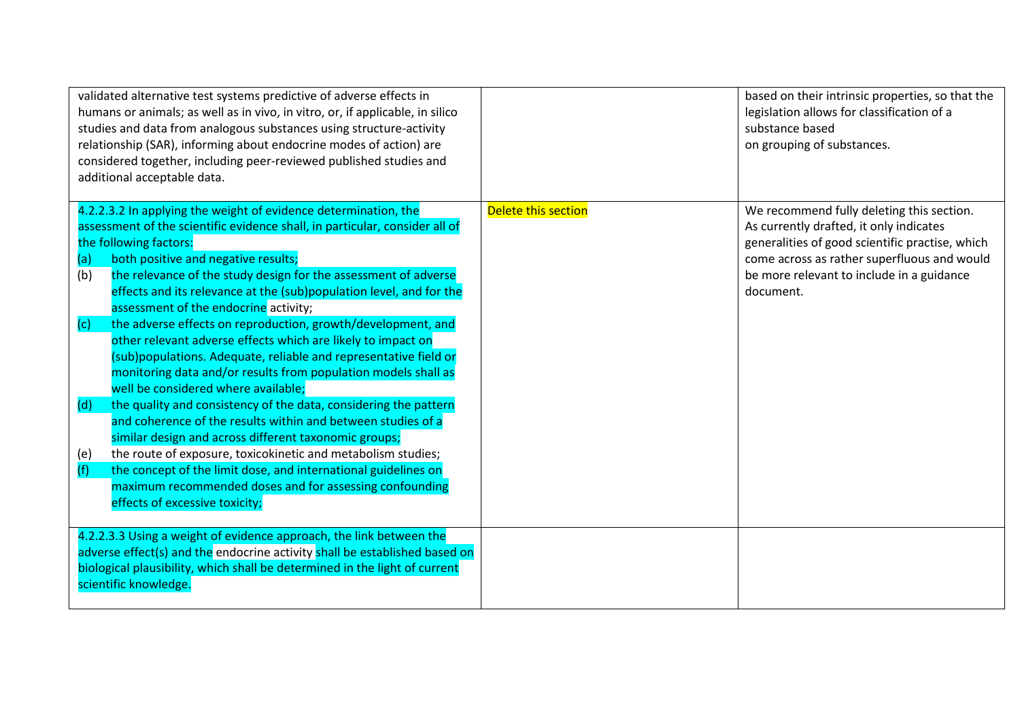|     | validated alternative test systems predictive of adverse effects in<br>humans or animals; as well as in vivo, in vitro, or, if applicable, in silico<br>studies and data from analogous substances using structure-activity<br>relationship (SAR), informing about endocrine modes of action) are<br>considered together, including peer-reviewed published studies and<br>additional acceptable data. |                     | based on their intrinsic properties, so that the<br>legislation allows for classification of a<br>substance based<br>on grouping of substances. |
|-----|--------------------------------------------------------------------------------------------------------------------------------------------------------------------------------------------------------------------------------------------------------------------------------------------------------------------------------------------------------------------------------------------------------|---------------------|-------------------------------------------------------------------------------------------------------------------------------------------------|
|     | 4.2.2.3.2 In applying the weight of evidence determination, the<br>assessment of the scientific evidence shall, in particular, consider all of                                                                                                                                                                                                                                                         | Delete this section | We recommend fully deleting this section.<br>As currently drafted, it only indicates                                                            |
|     | the following factors:                                                                                                                                                                                                                                                                                                                                                                                 |                     | generalities of good scientific practise, which                                                                                                 |
| (a) | both positive and negative results;                                                                                                                                                                                                                                                                                                                                                                    |                     | come across as rather superfluous and would                                                                                                     |
| (b) | the relevance of the study design for the assessment of adverse                                                                                                                                                                                                                                                                                                                                        |                     | be more relevant to include in a guidance                                                                                                       |
|     | effects and its relevance at the (sub)population level, and for the                                                                                                                                                                                                                                                                                                                                    |                     | document.                                                                                                                                       |
|     | assessment of the endocrine activity;                                                                                                                                                                                                                                                                                                                                                                  |                     |                                                                                                                                                 |
| (c) | the adverse effects on reproduction, growth/development, and                                                                                                                                                                                                                                                                                                                                           |                     |                                                                                                                                                 |
|     | other relevant adverse effects which are likely to impact on                                                                                                                                                                                                                                                                                                                                           |                     |                                                                                                                                                 |
|     | (sub)populations. Adequate, reliable and representative field or                                                                                                                                                                                                                                                                                                                                       |                     |                                                                                                                                                 |
|     | monitoring data and/or results from population models shall as                                                                                                                                                                                                                                                                                                                                         |                     |                                                                                                                                                 |
|     | well be considered where available;                                                                                                                                                                                                                                                                                                                                                                    |                     |                                                                                                                                                 |
| (d) | the quality and consistency of the data, considering the pattern                                                                                                                                                                                                                                                                                                                                       |                     |                                                                                                                                                 |
|     | and coherence of the results within and between studies of a                                                                                                                                                                                                                                                                                                                                           |                     |                                                                                                                                                 |
|     | similar design and across different taxonomic groups;                                                                                                                                                                                                                                                                                                                                                  |                     |                                                                                                                                                 |
| (e) | the route of exposure, toxicokinetic and metabolism studies;                                                                                                                                                                                                                                                                                                                                           |                     |                                                                                                                                                 |
| (f) | the concept of the limit dose, and international guidelines on                                                                                                                                                                                                                                                                                                                                         |                     |                                                                                                                                                 |
|     | maximum recommended doses and for assessing confounding<br>effects of excessive toxicity;                                                                                                                                                                                                                                                                                                              |                     |                                                                                                                                                 |
|     |                                                                                                                                                                                                                                                                                                                                                                                                        |                     |                                                                                                                                                 |
|     | 4.2.2.3.3 Using a weight of evidence approach, the link between the                                                                                                                                                                                                                                                                                                                                    |                     |                                                                                                                                                 |
|     | adverse effect(s) and the endocrine activity shall be established based on                                                                                                                                                                                                                                                                                                                             |                     |                                                                                                                                                 |
|     | biological plausibility, which shall be determined in the light of current                                                                                                                                                                                                                                                                                                                             |                     |                                                                                                                                                 |
|     | scientific knowledge.                                                                                                                                                                                                                                                                                                                                                                                  |                     |                                                                                                                                                 |
|     |                                                                                                                                                                                                                                                                                                                                                                                                        |                     |                                                                                                                                                 |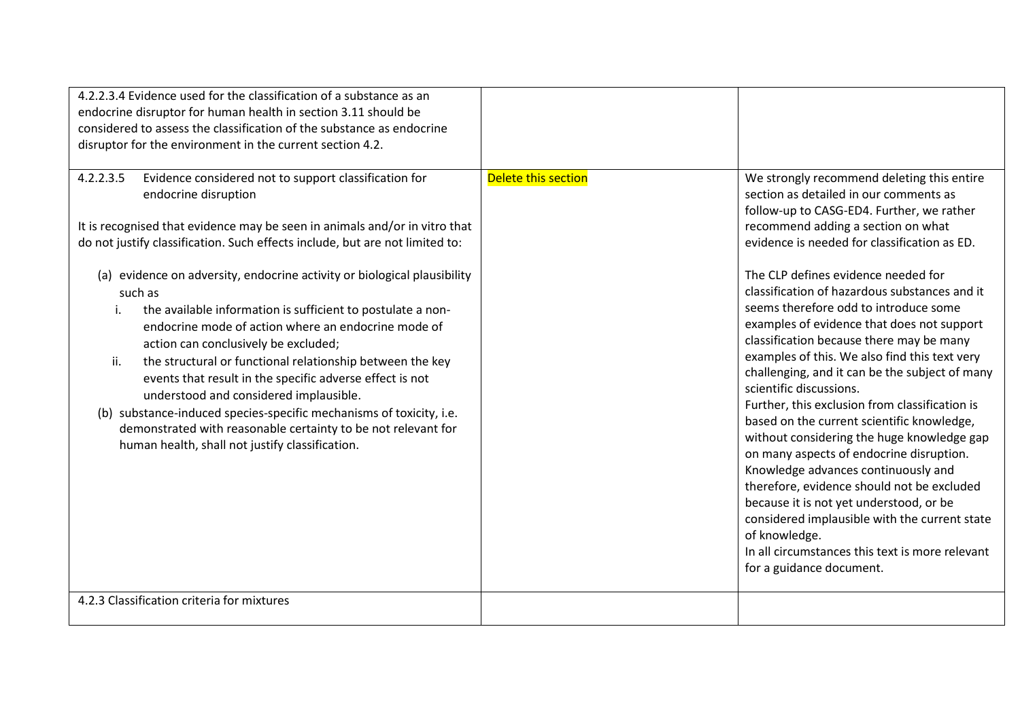| 4.2.2.3.4 Evidence used for the classification of a substance as an<br>endocrine disruptor for human health in section 3.11 should be<br>considered to assess the classification of the substance as endocrine<br>disruptor for the environment in the current section 4.2.                                                                                                                                                                                                                                                                                                                                                                                                                                                                                                                                                                                                              |                     |                                                                                                                                                                                                                                                                                                                                                                                                                                                                                                                                                                                                                                                                                                                                                                                                                                                                                                                                                                                                                                                             |
|------------------------------------------------------------------------------------------------------------------------------------------------------------------------------------------------------------------------------------------------------------------------------------------------------------------------------------------------------------------------------------------------------------------------------------------------------------------------------------------------------------------------------------------------------------------------------------------------------------------------------------------------------------------------------------------------------------------------------------------------------------------------------------------------------------------------------------------------------------------------------------------|---------------------|-------------------------------------------------------------------------------------------------------------------------------------------------------------------------------------------------------------------------------------------------------------------------------------------------------------------------------------------------------------------------------------------------------------------------------------------------------------------------------------------------------------------------------------------------------------------------------------------------------------------------------------------------------------------------------------------------------------------------------------------------------------------------------------------------------------------------------------------------------------------------------------------------------------------------------------------------------------------------------------------------------------------------------------------------------------|
| 4.2.2.3.5<br>Evidence considered not to support classification for<br>endocrine disruption<br>It is recognised that evidence may be seen in animals and/or in vitro that<br>do not justify classification. Such effects include, but are not limited to:<br>(a) evidence on adversity, endocrine activity or biological plausibility<br>such as<br>the available information is sufficient to postulate a non-<br>İ.<br>endocrine mode of action where an endocrine mode of<br>action can conclusively be excluded;<br>ii.<br>the structural or functional relationship between the key<br>events that result in the specific adverse effect is not<br>understood and considered implausible.<br>(b) substance-induced species-specific mechanisms of toxicity, i.e.<br>demonstrated with reasonable certainty to be not relevant for<br>human health, shall not justify classification. | Delete this section | We strongly recommend deleting this entire<br>section as detailed in our comments as<br>follow-up to CASG-ED4. Further, we rather<br>recommend adding a section on what<br>evidence is needed for classification as ED.<br>The CLP defines evidence needed for<br>classification of hazardous substances and it<br>seems therefore odd to introduce some<br>examples of evidence that does not support<br>classification because there may be many<br>examples of this. We also find this text very<br>challenging, and it can be the subject of many<br>scientific discussions.<br>Further, this exclusion from classification is<br>based on the current scientific knowledge,<br>without considering the huge knowledge gap<br>on many aspects of endocrine disruption.<br>Knowledge advances continuously and<br>therefore, evidence should not be excluded<br>because it is not yet understood, or be<br>considered implausible with the current state<br>of knowledge.<br>In all circumstances this text is more relevant<br>for a guidance document. |
| 4.2.3 Classification criteria for mixtures                                                                                                                                                                                                                                                                                                                                                                                                                                                                                                                                                                                                                                                                                                                                                                                                                                               |                     |                                                                                                                                                                                                                                                                                                                                                                                                                                                                                                                                                                                                                                                                                                                                                                                                                                                                                                                                                                                                                                                             |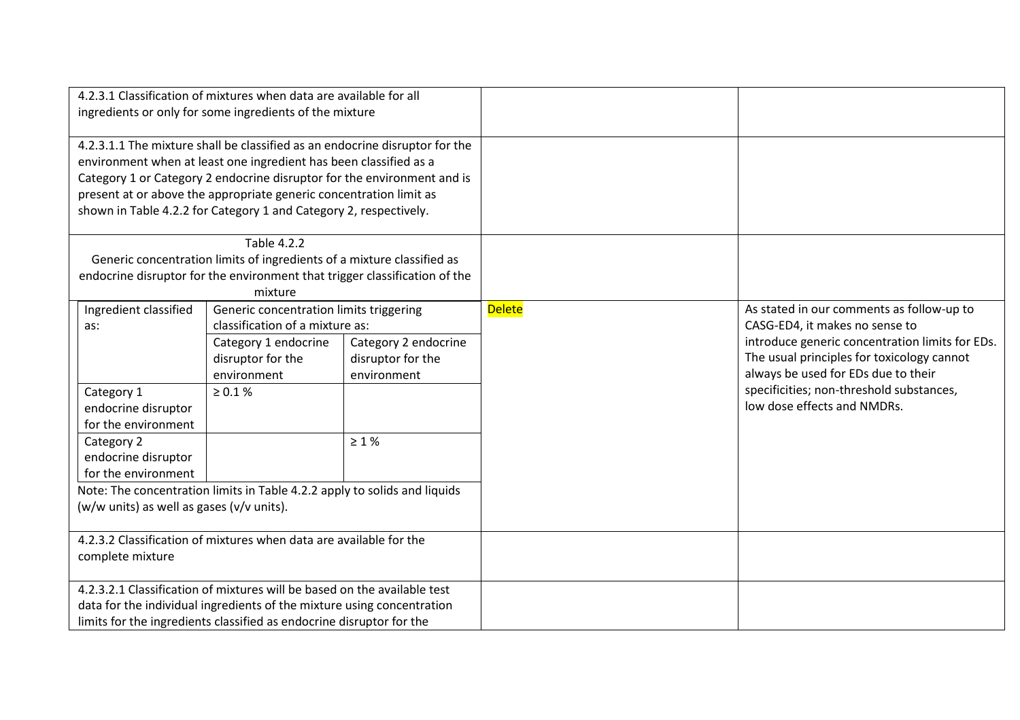| 4.2.3.1 Classification of mixtures when data are available for all        |                                                                             |                      |               |                                                 |
|---------------------------------------------------------------------------|-----------------------------------------------------------------------------|----------------------|---------------|-------------------------------------------------|
| ingredients or only for some ingredients of the mixture                   |                                                                             |                      |               |                                                 |
|                                                                           |                                                                             |                      |               |                                                 |
|                                                                           | 4.2.3.1.1 The mixture shall be classified as an endocrine disruptor for the |                      |               |                                                 |
|                                                                           | environment when at least one ingredient has been classified as a           |                      |               |                                                 |
|                                                                           | Category 1 or Category 2 endocrine disruptor for the environment and is     |                      |               |                                                 |
|                                                                           | present at or above the appropriate generic concentration limit as          |                      |               |                                                 |
|                                                                           | shown in Table 4.2.2 for Category 1 and Category 2, respectively.           |                      |               |                                                 |
|                                                                           | Table 4.2.2                                                                 |                      |               |                                                 |
|                                                                           | Generic concentration limits of ingredients of a mixture classified as      |                      |               |                                                 |
|                                                                           | endocrine disruptor for the environment that trigger classification of the  |                      |               |                                                 |
|                                                                           | mixture                                                                     |                      |               |                                                 |
| Ingredient classified                                                     | Generic concentration limits triggering                                     |                      | <b>Delete</b> | As stated in our comments as follow-up to       |
| as:                                                                       | classification of a mixture as:                                             |                      |               | CASG-ED4, it makes no sense to                  |
|                                                                           | Category 1 endocrine                                                        | Category 2 endocrine |               | introduce generic concentration limits for EDs. |
|                                                                           | disruptor for the                                                           | disruptor for the    |               | The usual principles for toxicology cannot      |
|                                                                           | environment                                                                 | environment          |               | always be used for EDs due to their             |
| Category 1                                                                | $\geq 0.1$ %                                                                |                      |               | specificities; non-threshold substances,        |
| endocrine disruptor                                                       |                                                                             |                      |               | low dose effects and NMDRs.                     |
| for the environment                                                       |                                                                             |                      |               |                                                 |
| Category 2                                                                |                                                                             | $\geq 1 \%$          |               |                                                 |
| endocrine disruptor                                                       |                                                                             |                      |               |                                                 |
| for the environment                                                       |                                                                             |                      |               |                                                 |
| Note: The concentration limits in Table 4.2.2 apply to solids and liquids |                                                                             |                      |               |                                                 |
| (w/w units) as well as gases (v/v units).                                 |                                                                             |                      |               |                                                 |
|                                                                           |                                                                             |                      |               |                                                 |
| 4.2.3.2 Classification of mixtures when data are available for the        |                                                                             |                      |               |                                                 |
| complete mixture                                                          |                                                                             |                      |               |                                                 |
|                                                                           |                                                                             |                      |               |                                                 |
| 4.2.3.2.1 Classification of mixtures will be based on the available test  |                                                                             |                      |               |                                                 |
| data for the individual ingredients of the mixture using concentration    |                                                                             |                      |               |                                                 |
| limits for the ingredients classified as endocrine disruptor for the      |                                                                             |                      |               |                                                 |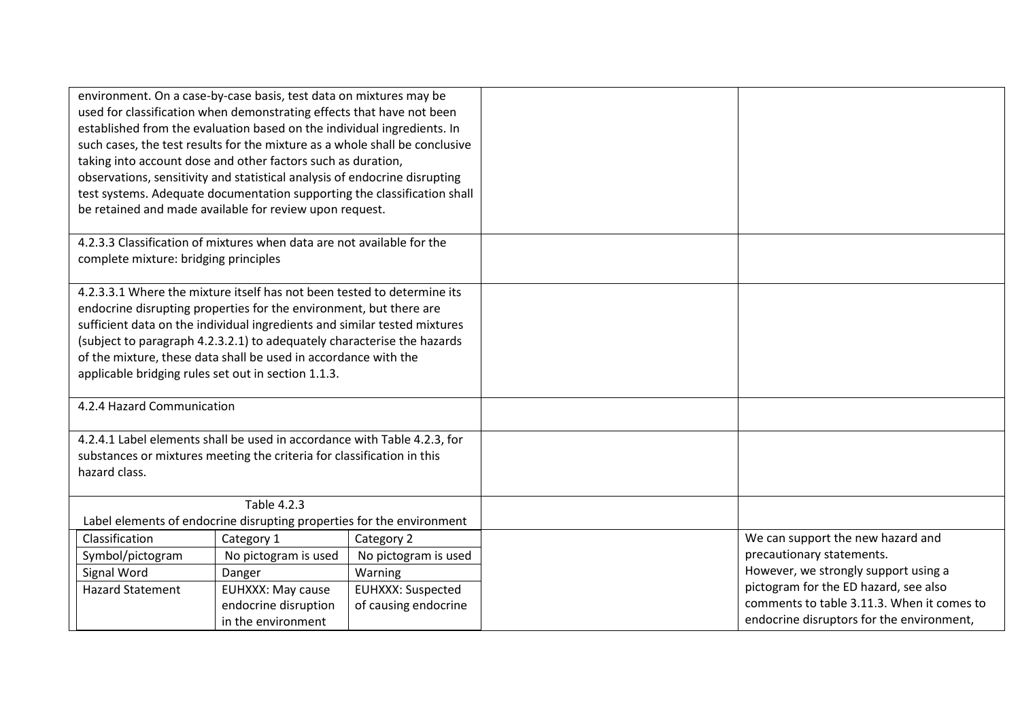| environment. On a case-by-case basis, test data on mixtures may be<br>used for classification when demonstrating effects that have not been |                          |                          |                                            |
|---------------------------------------------------------------------------------------------------------------------------------------------|--------------------------|--------------------------|--------------------------------------------|
| established from the evaluation based on the individual ingredients. In                                                                     |                          |                          |                                            |
| such cases, the test results for the mixture as a whole shall be conclusive                                                                 |                          |                          |                                            |
| taking into account dose and other factors such as duration,                                                                                |                          |                          |                                            |
| observations, sensitivity and statistical analysis of endocrine disrupting                                                                  |                          |                          |                                            |
| test systems. Adequate documentation supporting the classification shall                                                                    |                          |                          |                                            |
| be retained and made available for review upon request.                                                                                     |                          |                          |                                            |
| 4.2.3.3 Classification of mixtures when data are not available for the                                                                      |                          |                          |                                            |
| complete mixture: bridging principles                                                                                                       |                          |                          |                                            |
|                                                                                                                                             |                          |                          |                                            |
| 4.2.3.3.1 Where the mixture itself has not been tested to determine its                                                                     |                          |                          |                                            |
| endocrine disrupting properties for the environment, but there are                                                                          |                          |                          |                                            |
| sufficient data on the individual ingredients and similar tested mixtures                                                                   |                          |                          |                                            |
| (subject to paragraph 4.2.3.2.1) to adequately characterise the hazards<br>of the mixture, these data shall be used in accordance with the  |                          |                          |                                            |
| applicable bridging rules set out in section 1.1.3.                                                                                         |                          |                          |                                            |
|                                                                                                                                             |                          |                          |                                            |
| 4.2.4 Hazard Communication                                                                                                                  |                          |                          |                                            |
|                                                                                                                                             |                          |                          |                                            |
| 4.2.4.1 Label elements shall be used in accordance with Table 4.2.3, for                                                                    |                          |                          |                                            |
| substances or mixtures meeting the criteria for classification in this                                                                      |                          |                          |                                            |
| hazard class.                                                                                                                               |                          |                          |                                            |
|                                                                                                                                             |                          |                          |                                            |
|                                                                                                                                             | Table 4.2.3              |                          |                                            |
| Label elements of endocrine disrupting properties for the environment                                                                       |                          |                          |                                            |
| Classification                                                                                                                              | Category 1               | Category 2               | We can support the new hazard and          |
| Symbol/pictogram                                                                                                                            | No pictogram is used     | No pictogram is used     | precautionary statements.                  |
| Signal Word                                                                                                                                 | Danger                   | Warning                  | However, we strongly support using a       |
| <b>Hazard Statement</b>                                                                                                                     | <b>EUHXXX: May cause</b> | <b>EUHXXX: Suspected</b> | pictogram for the ED hazard, see also      |
|                                                                                                                                             | endocrine disruption     | of causing endocrine     | comments to table 3.11.3. When it comes to |
|                                                                                                                                             | in the environment       |                          | endocrine disruptors for the environment,  |